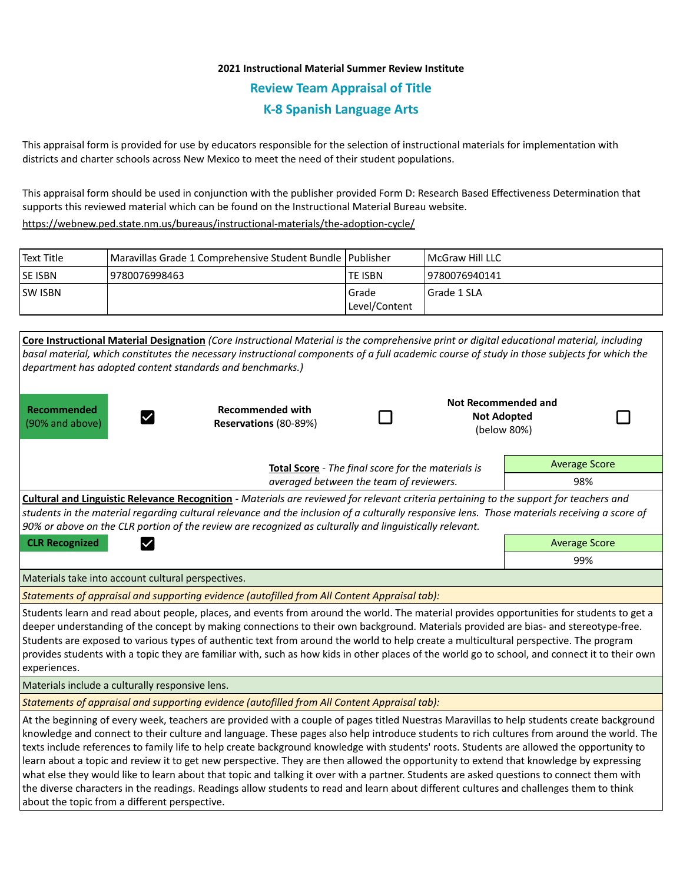# **2021 Instructional Material Summer Review Institute Review Team Appraisal of Title K-8 Spanish Language Arts**

This appraisal form is provided for use by educators responsible for the selection of instructional materials for implementation with districts and charter schools across New Mexico to meet the need of their student populations.

This appraisal form should be used in conjunction with the publisher provided Form D: Research Based Effectiveness Determination that supports this reviewed material which can be found on the Instructional Material Bureau website.

<https://webnew.ped.state.nm.us/bureaus/instructional-materials/the-adoption-cycle/>

| Text Title     | Maravillas Grade 1 Comprehensive Student Bundle   Publisher |               | <b>IMcGraw Hill LLC</b> |
|----------------|-------------------------------------------------------------|---------------|-------------------------|
| <b>SE ISBN</b> | 9780076998463                                               | lte ISBN      | 9780076940141           |
| <b>SW ISBN</b> |                                                             | l Grade       | Grade 1 SLA             |
|                |                                                             | Level/Content |                         |

|                                                                                                                                                                                                                                                                                                                                                                                                                                                                                                                                                                                                                                                                                                                                                                                                                                                                                                                         | Core Instructional Material Designation (Core Instructional Material is the comprehensive print or digital educational material, including |     |                                                                 |                      |  |  |  |
|-------------------------------------------------------------------------------------------------------------------------------------------------------------------------------------------------------------------------------------------------------------------------------------------------------------------------------------------------------------------------------------------------------------------------------------------------------------------------------------------------------------------------------------------------------------------------------------------------------------------------------------------------------------------------------------------------------------------------------------------------------------------------------------------------------------------------------------------------------------------------------------------------------------------------|--------------------------------------------------------------------------------------------------------------------------------------------|-----|-----------------------------------------------------------------|----------------------|--|--|--|
| basal material, which constitutes the necessary instructional components of a full academic course of study in those subjects for which the                                                                                                                                                                                                                                                                                                                                                                                                                                                                                                                                                                                                                                                                                                                                                                             |                                                                                                                                            |     |                                                                 |                      |  |  |  |
| department has adopted content standards and benchmarks.)                                                                                                                                                                                                                                                                                                                                                                                                                                                                                                                                                                                                                                                                                                                                                                                                                                                               |                                                                                                                                            |     |                                                                 |                      |  |  |  |
| Recommended<br>(90% and above)                                                                                                                                                                                                                                                                                                                                                                                                                                                                                                                                                                                                                                                                                                                                                                                                                                                                                          | <b>Recommended with</b><br>Reservations (80-89%)                                                                                           |     | <b>Not Recommended and</b><br><b>Not Adopted</b><br>(below 80%) |                      |  |  |  |
|                                                                                                                                                                                                                                                                                                                                                                                                                                                                                                                                                                                                                                                                                                                                                                                                                                                                                                                         | Total Score - The final score for the materials is                                                                                         |     |                                                                 | <b>Average Score</b> |  |  |  |
|                                                                                                                                                                                                                                                                                                                                                                                                                                                                                                                                                                                                                                                                                                                                                                                                                                                                                                                         | averaged between the team of reviewers.                                                                                                    |     |                                                                 | 98%                  |  |  |  |
| Cultural and Linguistic Relevance Recognition - Materials are reviewed for relevant criteria pertaining to the support for teachers and<br>students in the material regarding cultural relevance and the inclusion of a culturally responsive lens. Those materials receiving a score of<br>90% or above on the CLR portion of the review are recognized as culturally and linguistically relevant.                                                                                                                                                                                                                                                                                                                                                                                                                                                                                                                     |                                                                                                                                            |     |                                                                 |                      |  |  |  |
| <b>CLR Recognized</b><br>$\checkmark$                                                                                                                                                                                                                                                                                                                                                                                                                                                                                                                                                                                                                                                                                                                                                                                                                                                                                   |                                                                                                                                            |     |                                                                 | <b>Average Score</b> |  |  |  |
|                                                                                                                                                                                                                                                                                                                                                                                                                                                                                                                                                                                                                                                                                                                                                                                                                                                                                                                         |                                                                                                                                            | 99% |                                                                 |                      |  |  |  |
| Materials take into account cultural perspectives.                                                                                                                                                                                                                                                                                                                                                                                                                                                                                                                                                                                                                                                                                                                                                                                                                                                                      |                                                                                                                                            |     |                                                                 |                      |  |  |  |
| Statements of appraisal and supporting evidence (autofilled from All Content Appraisal tab):                                                                                                                                                                                                                                                                                                                                                                                                                                                                                                                                                                                                                                                                                                                                                                                                                            |                                                                                                                                            |     |                                                                 |                      |  |  |  |
| Students learn and read about people, places, and events from around the world. The material provides opportunities for students to get a<br>deeper understanding of the concept by making connections to their own background. Materials provided are bias- and stereotype-free.<br>Students are exposed to various types of authentic text from around the world to help create a multicultural perspective. The program<br>provides students with a topic they are familiar with, such as how kids in other places of the world go to school, and connect it to their own<br>experiences.                                                                                                                                                                                                                                                                                                                            |                                                                                                                                            |     |                                                                 |                      |  |  |  |
| Materials include a culturally responsive lens.                                                                                                                                                                                                                                                                                                                                                                                                                                                                                                                                                                                                                                                                                                                                                                                                                                                                         |                                                                                                                                            |     |                                                                 |                      |  |  |  |
| Statements of appraisal and supporting evidence (autofilled from All Content Appraisal tab):                                                                                                                                                                                                                                                                                                                                                                                                                                                                                                                                                                                                                                                                                                                                                                                                                            |                                                                                                                                            |     |                                                                 |                      |  |  |  |
| At the beginning of every week, teachers are provided with a couple of pages titled Nuestras Maravillas to help students create background<br>knowledge and connect to their culture and language. These pages also help introduce students to rich cultures from around the world. The<br>texts include references to family life to help create background knowledge with students' roots. Students are allowed the opportunity to<br>learn about a topic and review it to get new perspective. They are then allowed the opportunity to extend that knowledge by expressing<br>what else they would like to learn about that topic and talking it over with a partner. Students are asked questions to connect them with<br>the diverse characters in the readings. Readings allow students to read and learn about different cultures and challenges them to think<br>about the topic from a different perspective. |                                                                                                                                            |     |                                                                 |                      |  |  |  |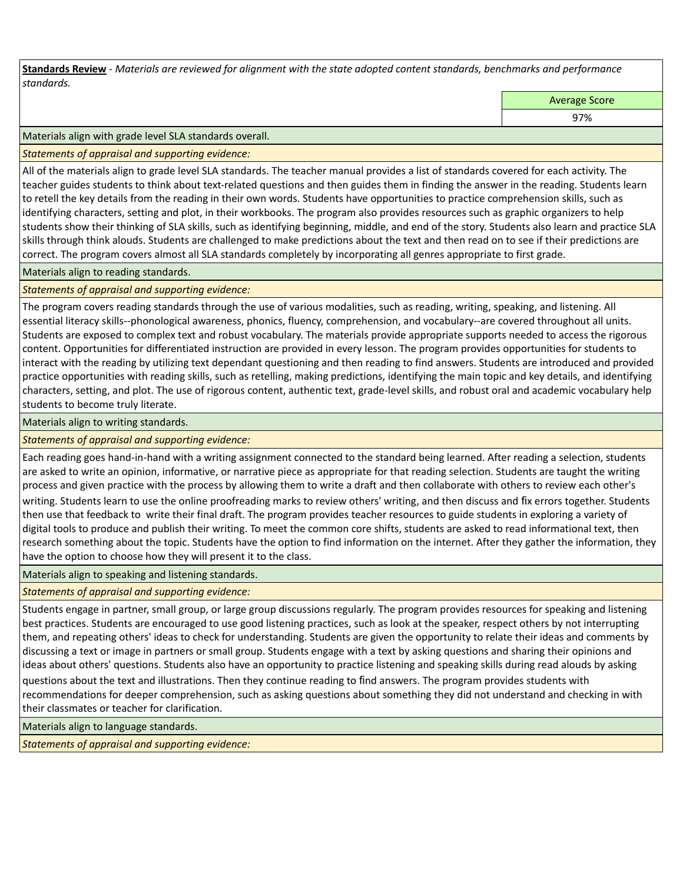**Standards Review** *- Materials are reviewed for alignment with the state adopted content standards, benchmarks and performance standards.*

Average Score

97%

Materials align with grade level SLA standards overall.

*Statements of appraisal and supporting evidence:* 

All of the materials align to grade level SLA standards. The teacher manual provides a list of standards covered for each activity. The teacher guides students to think about text-related questions and then guides them in finding the answer in the reading. Students learn to retell the key details from the reading in their own words. Students have opportunities to practice comprehension skills, such as identifying characters, setting and plot, in their workbooks. The program also provides resources such as graphic organizers to help students show their thinking of SLA skills, such as identifying beginning, middle, and end of the story. Students also learn and practice SLA skills through think alouds. Students are challenged to make predictions about the text and then read on to see if their predictions are correct. The program covers almost all SLA standards completely by incorporating all genres appropriate to first grade.

Materials align to reading standards.

*Statements of appraisal and supporting evidence:* 

The program covers reading standards through the use of various modalities, such as reading, writing, speaking, and listening. All essential literacy skills--phonological awareness, phonics, fluency, comprehension, and vocabulary--are covered throughout all units. Students are exposed to complex text and robust vocabulary. The materials provide appropriate supports needed to access the rigorous content. Opportunities for differentiated instruction are provided in every lesson. The program provides opportunities for students to interact with the reading by utilizing text dependant questioning and then reading to find answers. Students are introduced and provided practice opportunities with reading skills, such as retelling, making predictions, identifying the main topic and key details, and identifying characters, setting, and plot. The use of rigorous content, authentic text, grade-level skills, and robust oral and academic vocabulary help students to become truly literate.

Materials align to writing standards.

*Statements of appraisal and supporting evidence:* 

Each reading goes hand-in-hand with a writing assignment connected to the standard being learned. After reading a selection, students are asked to write an opinion, informative, or narrative piece as appropriate for that reading selection. Students are taught the writing process and given practice with the process by allowing them to write a draft and then collaborate with others to review each other's writing. Students learn to use the online proofreading marks to review others' writing, and then discuss and fix errors together. Students then use that feedback to write their final draft. The program provides teacher resources to guide students in exploring a variety of digital tools to produce and publish their writing. To meet the common core shifts, students are asked to read informational text, then research something about the topic. Students have the option to find information on the internet. After they gather the information, they have the option to choose how they will present it to the class.

Materials align to speaking and listening standards.

*Statements of appraisal and supporting evidence:* 

Students engage in partner, small group, or large group discussions regularly. The program provides resources for speaking and listening best practices. Students are encouraged to use good listening practices, such as look at the speaker, respect others by not interrupting them, and repeating others' ideas to check for understanding. Students are given the opportunity to relate their ideas and comments by discussing a text or image in partners or small group. Students engage with a text by asking questions and sharing their opinions and ideas about others' questions. Students also have an opportunity to practice listening and speaking skills during read alouds by asking questions about the text and illustrations. Then they continue reading to find answers. The program provides students with recommendations for deeper comprehension, such as asking questions about something they did not understand and checking in with their classmates or teacher for clarification.

Materials align to language standards.

*Statements of appraisal and supporting evidence:*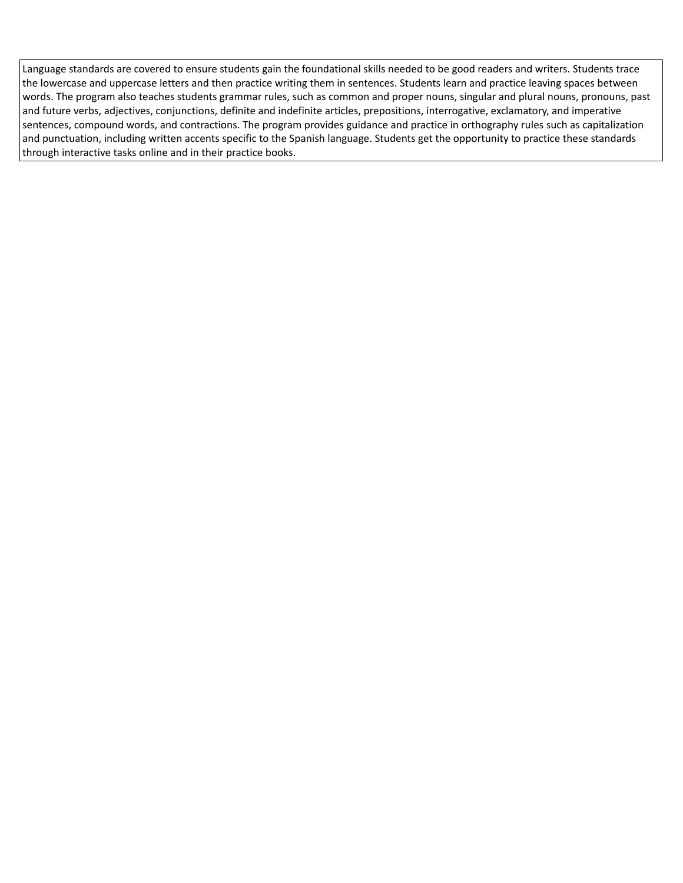Language standards are covered to ensure students gain the foundational skills needed to be good readers and writers. Students trace the lowercase and uppercase letters and then practice writing them in sentences. Students learn and practice leaving spaces between words. The program also teaches students grammar rules, such as common and proper nouns, singular and plural nouns, pronouns, past and future verbs, adjectives, conjunctions, definite and indefinite articles, prepositions, interrogative, exclamatory, and imperative sentences, compound words, and contractions. The program provides guidance and practice in orthography rules such as capitalization and punctuation, including written accents specific to the Spanish language. Students get the opportunity to practice these standards through interactive tasks online and in their practice books.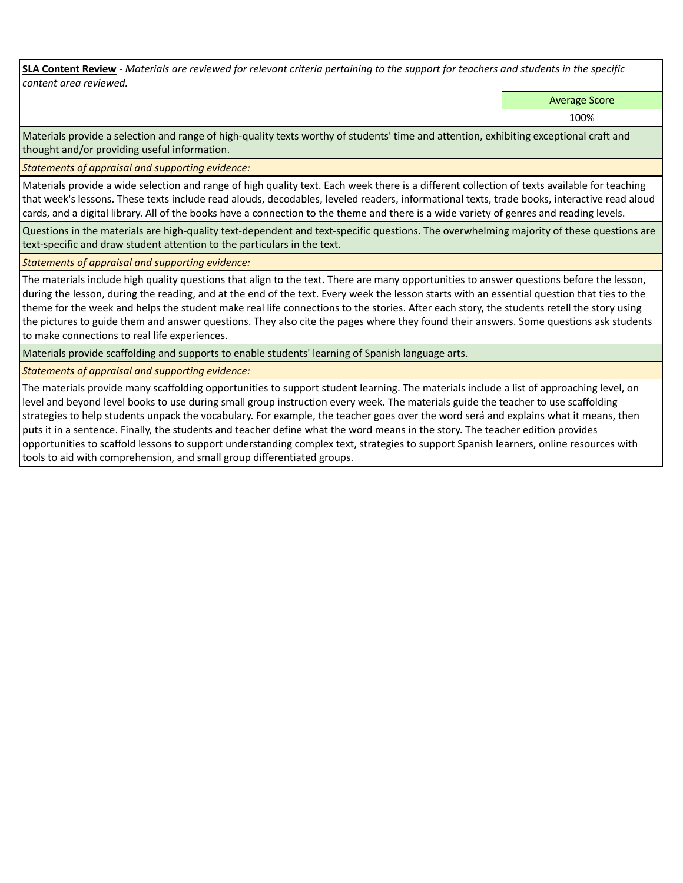**SLA Content Review** *- Materials are reviewed for relevant criteria pertaining to the support for teachers and students in the specific content area reviewed.*

Average Score

100%

Materials provide a selection and range of high-quality texts worthy of students' time and attention, exhibiting exceptional craft and thought and/or providing useful information.

*Statements of appraisal and supporting evidence:* 

Materials provide a wide selection and range of high quality text. Each week there is a different collection of texts available for teaching that week's lessons. These texts include read alouds, decodables, leveled readers, informational texts, trade books, interactive read aloud cards, and a digital library. All of the books have a connection to the theme and there is a wide variety of genres and reading levels.

Questions in the materials are high-quality text-dependent and text-specific questions. The overwhelming majority of these questions are text-specific and draw student attention to the particulars in the text.

*Statements of appraisal and supporting evidence:* 

The materials include high quality questions that align to the text. There are many opportunities to answer questions before the lesson, during the lesson, during the reading, and at the end of the text. Every week the lesson starts with an essential question that ties to the theme for the week and helps the student make real life connections to the stories. After each story, the students retell the story using the pictures to guide them and answer questions. They also cite the pages where they found their answers. Some questions ask students to make connections to real life experiences.

Materials provide scaffolding and supports to enable students' learning of Spanish language arts.

*Statements of appraisal and supporting evidence:* 

The materials provide many scaffolding opportunities to support student learning. The materials include a list of approaching level, on level and beyond level books to use during small group instruction every week. The materials guide the teacher to use scaffolding strategies to help students unpack the vocabulary. For example, the teacher goes over the word será and explains what it means, then puts it in a sentence. Finally, the students and teacher define what the word means in the story. The teacher edition provides opportunities to scaffold lessons to support understanding complex text, strategies to support Spanish learners, online resources with tools to aid with comprehension, and small group differentiated groups.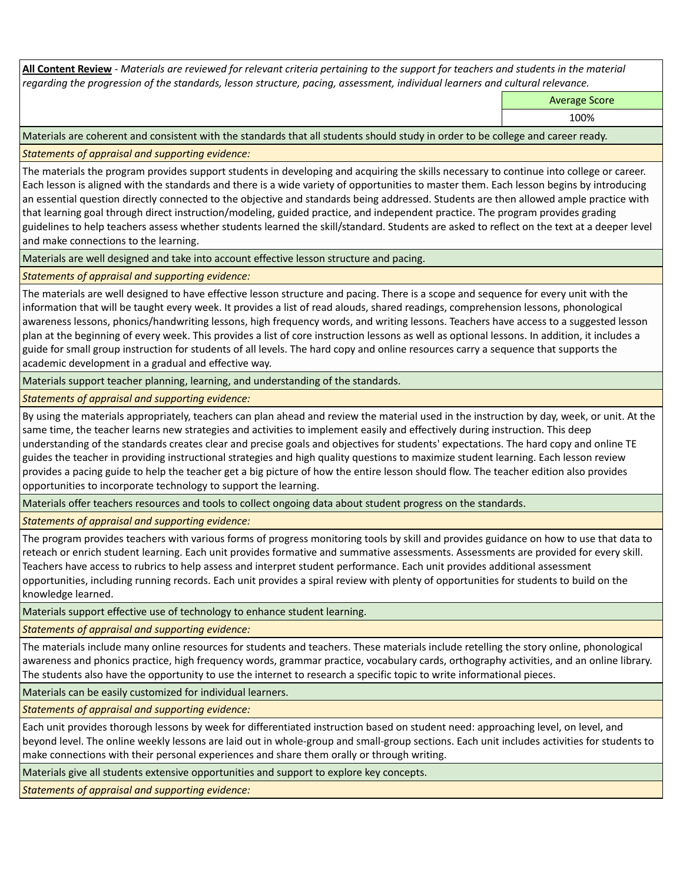**All Content Review** *- Materials are reviewed for relevant criteria pertaining to the support for teachers and students in the material regarding the progression of the standards, lesson structure, pacing, assessment, individual learners and cultural relevance.*

Average Score

100%

Materials are coherent and consistent with the standards that all students should study in order to be college and career ready.

*Statements of appraisal and supporting evidence:*

The materials the program provides support students in developing and acquiring the skills necessary to continue into college or career. Each lesson is aligned with the standards and there is a wide variety of opportunities to master them. Each lesson begins by introducing an essential question directly connected to the objective and standards being addressed. Students are then allowed ample practice with that learning goal through direct instruction/modeling, guided practice, and independent practice. The program provides grading guidelines to help teachers assess whether students learned the skill/standard. Students are asked to reflect on the text at a deeper level and make connections to the learning.

Materials are well designed and take into account effective lesson structure and pacing.

*Statements of appraisal and supporting evidence:*

The materials are well designed to have effective lesson structure and pacing. There is a scope and sequence for every unit with the information that will be taught every week. It provides a list of read alouds, shared readings, comprehension lessons, phonological awareness lessons, phonics/handwriting lessons, high frequency words, and writing lessons. Teachers have access to a suggested lesson plan at the beginning of every week. This provides a list of core instruction lessons as well as optional lessons. In addition, it includes a guide for small group instruction for students of all levels. The hard copy and online resources carry a sequence that supports the academic development in a gradual and effective way.

Materials support teacher planning, learning, and understanding of the standards.

*Statements of appraisal and supporting evidence:*

By using the materials appropriately, teachers can plan ahead and review the material used in the instruction by day, week, or unit. At the same time, the teacher learns new strategies and activities to implement easily and effectively during instruction. This deep understanding of the standards creates clear and precise goals and objectives for students' expectations. The hard copy and online TE guides the teacher in providing instructional strategies and high quality questions to maximize student learning. Each lesson review provides a pacing guide to help the teacher get a big picture of how the entire lesson should flow. The teacher edition also provides opportunities to incorporate technology to support the learning.

Materials offer teachers resources and tools to collect ongoing data about student progress on the standards.

*Statements of appraisal and supporting evidence:*

The program provides teachers with various forms of progress monitoring tools by skill and provides guidance on how to use that data to reteach or enrich student learning. Each unit provides formative and summative assessments. Assessments are provided for every skill. Teachers have access to rubrics to help assess and interpret student performance. Each unit provides additional assessment opportunities, including running records. Each unit provides a spiral review with plenty of opportunities for students to build on the knowledge learned.

Materials support effective use of technology to enhance student learning.

*Statements of appraisal and supporting evidence:*

The materials include many online resources for students and teachers. These materials include retelling the story online, phonological awareness and phonics practice, high frequency words, grammar practice, vocabulary cards, orthography activities, and an online library. The students also have the opportunity to use the internet to research a specific topic to write informational pieces.

Materials can be easily customized for individual learners.

*Statements of appraisal and supporting evidence:* 

Each unit provides thorough lessons by week for differentiated instruction based on student need: approaching level, on level, and beyond level. The online weekly lessons are laid out in whole-group and small-group sections. Each unit includes activities for students to make connections with their personal experiences and share them orally or through writing.

Materials give all students extensive opportunities and support to explore key concepts.

*Statements of appraisal and supporting evidence:*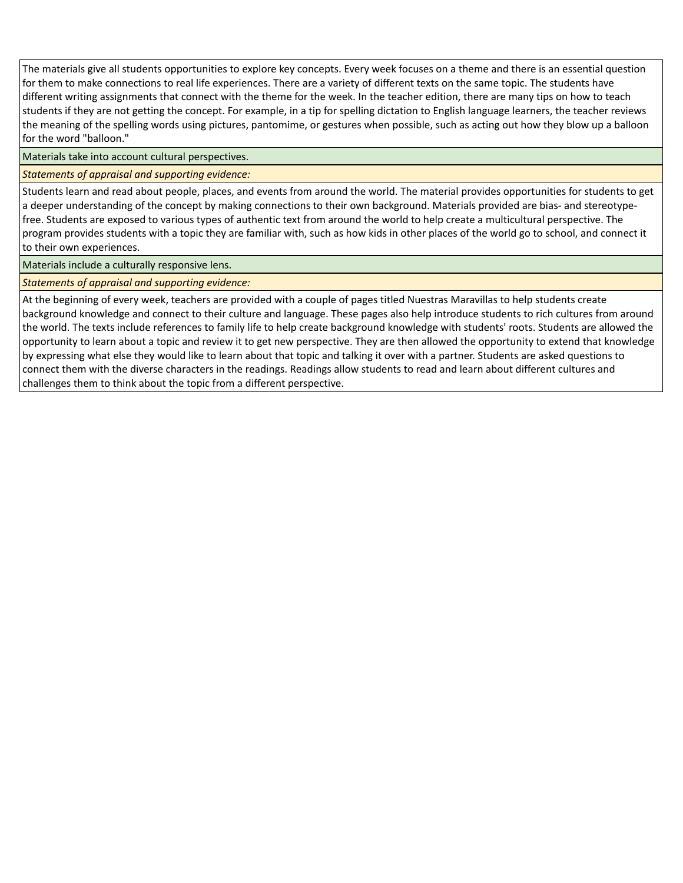The materials give all students opportunities to explore key concepts. Every week focuses on a theme and there is an essential question for them to make connections to real life experiences. There are a variety of different texts on the same topic. The students have different writing assignments that connect with the theme for the week. In the teacher edition, there are many tips on how to teach students if they are not getting the concept. For example, in a tip for spelling dictation to English language learners, the teacher reviews the meaning of the spelling words using pictures, pantomime, or gestures when possible, such as acting out how they blow up a balloon for the word "balloon."

Materials take into account cultural perspectives.

### *Statements of appraisal and supporting evidence:*

Students learn and read about people, places, and events from around the world. The material provides opportunities for students to get a deeper understanding of the concept by making connections to their own background. Materials provided are bias- and stereotypefree. Students are exposed to various types of authentic text from around the world to help create a multicultural perspective. The program provides students with a topic they are familiar with, such as how kids in other places of the world go to school, and connect it to their own experiences.

Materials include a culturally responsive lens.

*Statements of appraisal and supporting evidence:*

At the beginning of every week, teachers are provided with a couple of pages titled Nuestras Maravillas to help students create background knowledge and connect to their culture and language. These pages also help introduce students to rich cultures from around the world. The texts include references to family life to help create background knowledge with students' roots. Students are allowed the opportunity to learn about a topic and review it to get new perspective. They are then allowed the opportunity to extend that knowledge by expressing what else they would like to learn about that topic and talking it over with a partner. Students are asked questions to connect them with the diverse characters in the readings. Readings allow students to read and learn about different cultures and challenges them to think about the topic from a different perspective.